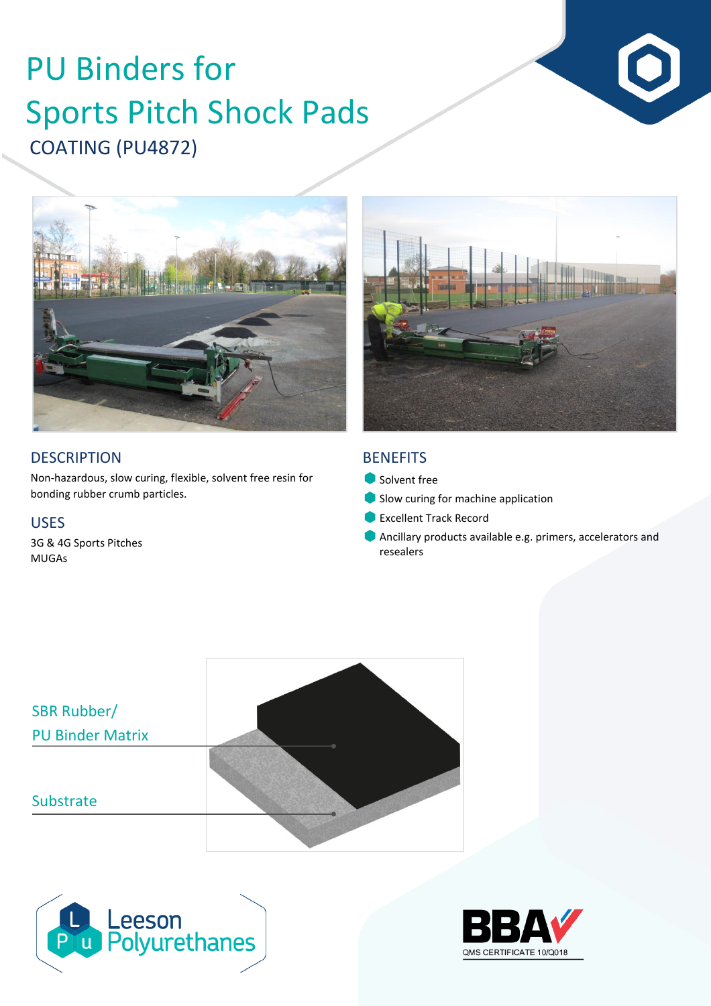# COATING (PU4872) PU Binders for Sports Pitch Shock Pads



# **DESCRIPTION**

Non-hazardous, slow curing, flexible, solvent free resin for bonding rubber crumb particles.

### USES

3G & 4G Sports Pitches MUGAs

## **BENEFITS**

- Solvent free
- Slow curing for machine application
- **Excellent Track Record**
- Ancillary products available e.g. primers, accelerators and resealers